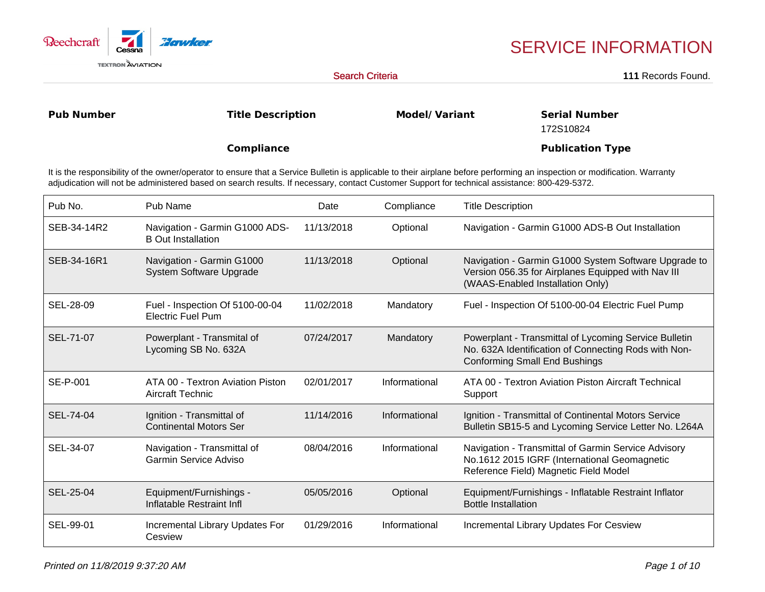

## SERVICE INFORMATION

Search Criteria

111 Records Found.

**Pub Number**

**Title Description**

**Model/Variant**

**Serial Number**172S10824

**Publication Type**

**Compliance**

It is the responsibility of the owner/operator to ensure that a Service Bulletin is applicable to their airplane before performing an inspection or modification. Warrantyadjudication will not be administered based on search results. If necessary, contact Customer Support for technical assistance: 800-429-5372.

| Pub No.     | Pub Name                                                    | Date       | Compliance    | <b>Title Description</b>                                                                                                                              |
|-------------|-------------------------------------------------------------|------------|---------------|-------------------------------------------------------------------------------------------------------------------------------------------------------|
| SEB-34-14R2 | Navigation - Garmin G1000 ADS-<br><b>B</b> Out Installation | 11/13/2018 | Optional      | Navigation - Garmin G1000 ADS-B Out Installation                                                                                                      |
| SEB-34-16R1 | Navigation - Garmin G1000<br>System Software Upgrade        | 11/13/2018 | Optional      | Navigation - Garmin G1000 System Software Upgrade to<br>Version 056.35 for Airplanes Equipped with Nav III<br>(WAAS-Enabled Installation Only)        |
| SEL-28-09   | Fuel - Inspection Of 5100-00-04<br><b>Electric Fuel Pum</b> | 11/02/2018 | Mandatory     | Fuel - Inspection Of 5100-00-04 Electric Fuel Pump                                                                                                    |
| SEL-71-07   | Powerplant - Transmital of<br>Lycoming SB No. 632A          | 07/24/2017 | Mandatory     | Powerplant - Transmittal of Lycoming Service Bulletin<br>No. 632A Identification of Connecting Rods with Non-<br><b>Conforming Small End Bushings</b> |
| SE-P-001    | ATA 00 - Textron Aviation Piston<br>Aircraft Technic        | 02/01/2017 | Informational | ATA 00 - Textron Aviation Piston Aircraft Technical<br>Support                                                                                        |
| SEL-74-04   | Ignition - Transmittal of<br><b>Continental Motors Ser</b>  | 11/14/2016 | Informational | Ignition - Transmittal of Continental Motors Service<br>Bulletin SB15-5 and Lycoming Service Letter No. L264A                                         |
| SEL-34-07   | Navigation - Transmittal of<br><b>Garmin Service Adviso</b> | 08/04/2016 | Informational | Navigation - Transmittal of Garmin Service Advisory<br>No.1612 2015 IGRF (International Geomagnetic<br>Reference Field) Magnetic Field Model          |
| SEL-25-04   | Equipment/Furnishings -<br>Inflatable Restraint Infl        | 05/05/2016 | Optional      | Equipment/Furnishings - Inflatable Restraint Inflator<br><b>Bottle Installation</b>                                                                   |
| SEL-99-01   | Incremental Library Updates For<br>Cesview                  | 01/29/2016 | Informational | Incremental Library Updates For Cesview                                                                                                               |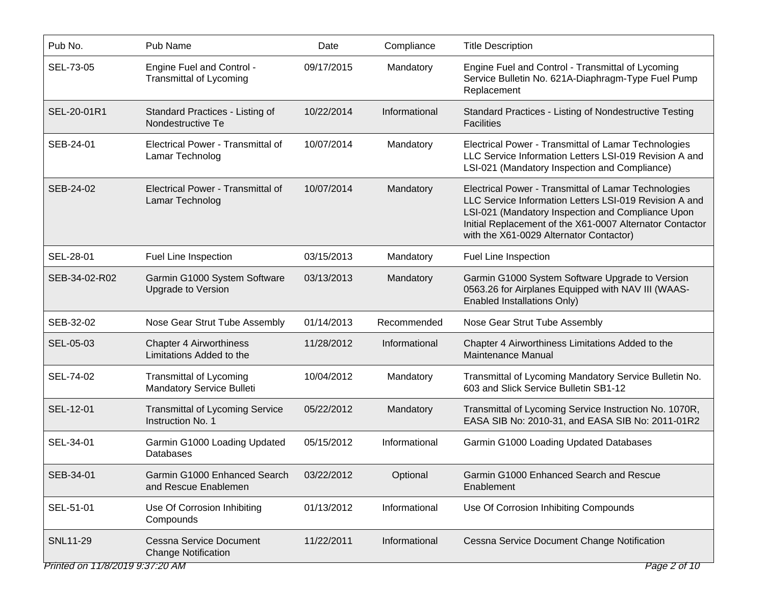| Pub No.                         | Pub Name                                                     | Date       | Compliance    | <b>Title Description</b>                                                                                                                                                                                                                                                   |
|---------------------------------|--------------------------------------------------------------|------------|---------------|----------------------------------------------------------------------------------------------------------------------------------------------------------------------------------------------------------------------------------------------------------------------------|
| SEL-73-05                       | Engine Fuel and Control -<br><b>Transmittal of Lycoming</b>  | 09/17/2015 | Mandatory     | Engine Fuel and Control - Transmittal of Lycoming<br>Service Bulletin No. 621A-Diaphragm-Type Fuel Pump<br>Replacement                                                                                                                                                     |
| SEL-20-01R1                     | Standard Practices - Listing of<br>Nondestructive Te         | 10/22/2014 | Informational | Standard Practices - Listing of Nondestructive Testing<br><b>Facilities</b>                                                                                                                                                                                                |
| SEB-24-01                       | Electrical Power - Transmittal of<br>Lamar Technolog         | 10/07/2014 | Mandatory     | Electrical Power - Transmittal of Lamar Technologies<br>LLC Service Information Letters LSI-019 Revision A and<br>LSI-021 (Mandatory Inspection and Compliance)                                                                                                            |
| SEB-24-02                       | Electrical Power - Transmittal of<br>Lamar Technolog         | 10/07/2014 | Mandatory     | Electrical Power - Transmittal of Lamar Technologies<br>LLC Service Information Letters LSI-019 Revision A and<br>LSI-021 (Mandatory Inspection and Compliance Upon<br>Initial Replacement of the X61-0007 Alternator Contactor<br>with the X61-0029 Alternator Contactor) |
| SEL-28-01                       | Fuel Line Inspection                                         | 03/15/2013 | Mandatory     | Fuel Line Inspection                                                                                                                                                                                                                                                       |
| SEB-34-02-R02                   | Garmin G1000 System Software<br>Upgrade to Version           | 03/13/2013 | Mandatory     | Garmin G1000 System Software Upgrade to Version<br>0563.26 for Airplanes Equipped with NAV III (WAAS-<br>Enabled Installations Only)                                                                                                                                       |
| SEB-32-02                       | Nose Gear Strut Tube Assembly                                | 01/14/2013 | Recommended   | Nose Gear Strut Tube Assembly                                                                                                                                                                                                                                              |
| SEL-05-03                       | <b>Chapter 4 Airworthiness</b><br>Limitations Added to the   | 11/28/2012 | Informational | Chapter 4 Airworthiness Limitations Added to the<br>Maintenance Manual                                                                                                                                                                                                     |
| SEL-74-02                       | <b>Transmittal of Lycoming</b><br>Mandatory Service Bulleti  | 10/04/2012 | Mandatory     | Transmittal of Lycoming Mandatory Service Bulletin No.<br>603 and Slick Service Bulletin SB1-12                                                                                                                                                                            |
| SEL-12-01                       | <b>Transmittal of Lycoming Service</b><br>Instruction No. 1  | 05/22/2012 | Mandatory     | Transmittal of Lycoming Service Instruction No. 1070R,<br>EASA SIB No: 2010-31, and EASA SIB No: 2011-01R2                                                                                                                                                                 |
| SEL-34-01                       | Garmin G1000 Loading Updated<br>Databases                    | 05/15/2012 | Informational | Garmin G1000 Loading Updated Databases                                                                                                                                                                                                                                     |
| SEB-34-01                       | Garmin G1000 Enhanced Search<br>and Rescue Enablemen         | 03/22/2012 | Optional      | Garmin G1000 Enhanced Search and Rescue<br>Enablement                                                                                                                                                                                                                      |
| SEL-51-01                       | Use Of Corrosion Inhibiting<br>Compounds                     | 01/13/2012 | Informational | Use Of Corrosion Inhibiting Compounds                                                                                                                                                                                                                                      |
| <b>SNL11-29</b>                 | <b>Cessna Service Document</b><br><b>Change Notification</b> | 11/22/2011 | Informational | Cessna Service Document Change Notification                                                                                                                                                                                                                                |
| Printed on 11/8/2019 9:37:20 AM |                                                              |            |               | Page 2 of 10                                                                                                                                                                                                                                                               |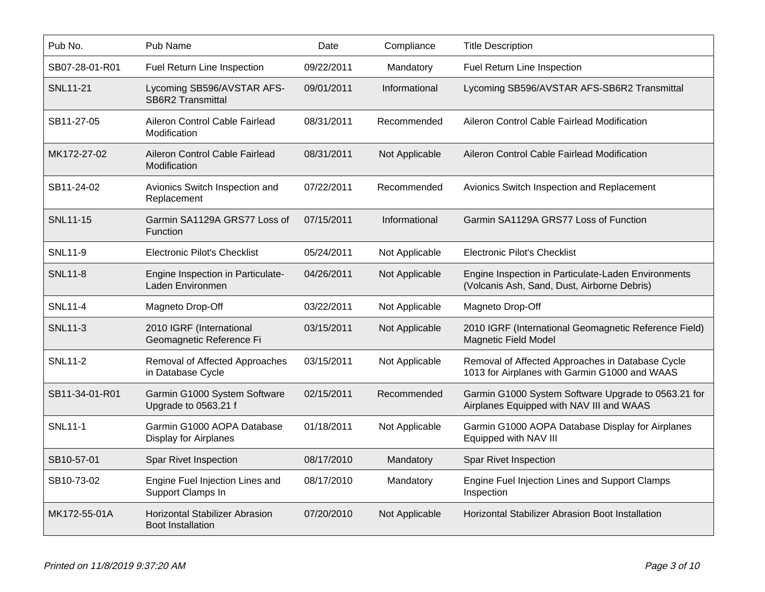| Pub No.         | Pub Name                                                   | Date       | Compliance     | <b>Title Description</b>                                                                           |
|-----------------|------------------------------------------------------------|------------|----------------|----------------------------------------------------------------------------------------------------|
| SB07-28-01-R01  | Fuel Return Line Inspection                                | 09/22/2011 | Mandatory      | Fuel Return Line Inspection                                                                        |
| <b>SNL11-21</b> | Lycoming SB596/AVSTAR AFS-<br><b>SB6R2 Transmittal</b>     | 09/01/2011 | Informational  | Lycoming SB596/AVSTAR AFS-SB6R2 Transmittal                                                        |
| SB11-27-05      | Aileron Control Cable Fairlead<br>Modification             | 08/31/2011 | Recommended    | Aileron Control Cable Fairlead Modification                                                        |
| MK172-27-02     | Aileron Control Cable Fairlead<br>Modification             | 08/31/2011 | Not Applicable | Aileron Control Cable Fairlead Modification                                                        |
| SB11-24-02      | Avionics Switch Inspection and<br>Replacement              | 07/22/2011 | Recommended    | Avionics Switch Inspection and Replacement                                                         |
| SNL11-15        | Garmin SA1129A GRS77 Loss of<br>Function                   | 07/15/2011 | Informational  | Garmin SA1129A GRS77 Loss of Function                                                              |
| <b>SNL11-9</b>  | <b>Electronic Pilot's Checklist</b>                        | 05/24/2011 | Not Applicable | <b>Electronic Pilot's Checklist</b>                                                                |
| <b>SNL11-8</b>  | Engine Inspection in Particulate-<br>Laden Environmen      | 04/26/2011 | Not Applicable | Engine Inspection in Particulate-Laden Environments<br>(Volcanis Ash, Sand, Dust, Airborne Debris) |
| <b>SNL11-4</b>  | Magneto Drop-Off                                           | 03/22/2011 | Not Applicable | Magneto Drop-Off                                                                                   |
| <b>SNL11-3</b>  | 2010 IGRF (International<br>Geomagnetic Reference Fi       | 03/15/2011 | Not Applicable | 2010 IGRF (International Geomagnetic Reference Field)<br><b>Magnetic Field Model</b>               |
| <b>SNL11-2</b>  | Removal of Affected Approaches<br>in Database Cycle        | 03/15/2011 | Not Applicable | Removal of Affected Approaches in Database Cycle<br>1013 for Airplanes with Garmin G1000 and WAAS  |
| SB11-34-01-R01  | Garmin G1000 System Software<br>Upgrade to 0563.21 f       | 02/15/2011 | Recommended    | Garmin G1000 System Software Upgrade to 0563.21 for<br>Airplanes Equipped with NAV III and WAAS    |
| <b>SNL11-1</b>  | Garmin G1000 AOPA Database<br><b>Display for Airplanes</b> | 01/18/2011 | Not Applicable | Garmin G1000 AOPA Database Display for Airplanes<br>Equipped with NAV III                          |
| SB10-57-01      | Spar Rivet Inspection                                      | 08/17/2010 | Mandatory      | Spar Rivet Inspection                                                                              |
| SB10-73-02      | Engine Fuel Injection Lines and<br>Support Clamps In       | 08/17/2010 | Mandatory      | Engine Fuel Injection Lines and Support Clamps<br>Inspection                                       |
| MK172-55-01A    | Horizontal Stabilizer Abrasion<br><b>Boot Installation</b> | 07/20/2010 | Not Applicable | Horizontal Stabilizer Abrasion Boot Installation                                                   |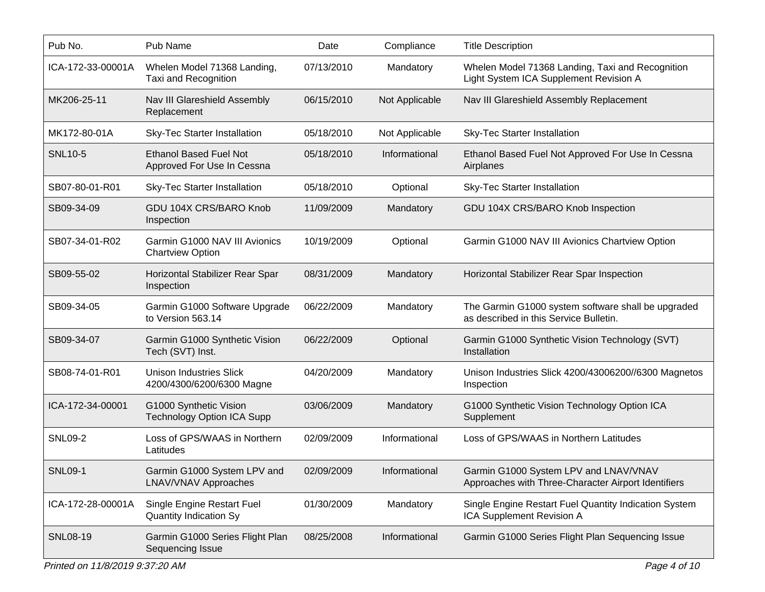| Pub No.           | Pub Name                                                    | Date       | Compliance     | <b>Title Description</b>                                                                     |
|-------------------|-------------------------------------------------------------|------------|----------------|----------------------------------------------------------------------------------------------|
| ICA-172-33-00001A | Whelen Model 71368 Landing,<br>Taxi and Recognition         | 07/13/2010 | Mandatory      | Whelen Model 71368 Landing, Taxi and Recognition<br>Light System ICA Supplement Revision A   |
| MK206-25-11       | Nav III Glareshield Assembly<br>Replacement                 | 06/15/2010 | Not Applicable | Nav III Glareshield Assembly Replacement                                                     |
| MK172-80-01A      | Sky-Tec Starter Installation                                | 05/18/2010 | Not Applicable | <b>Sky-Tec Starter Installation</b>                                                          |
| <b>SNL10-5</b>    | <b>Ethanol Based Fuel Not</b><br>Approved For Use In Cessna | 05/18/2010 | Informational  | Ethanol Based Fuel Not Approved For Use In Cessna<br>Airplanes                               |
| SB07-80-01-R01    | <b>Sky-Tec Starter Installation</b>                         | 05/18/2010 | Optional       | <b>Sky-Tec Starter Installation</b>                                                          |
| SB09-34-09        | GDU 104X CRS/BARO Knob<br>Inspection                        | 11/09/2009 | Mandatory      | GDU 104X CRS/BARO Knob Inspection                                                            |
| SB07-34-01-R02    | Garmin G1000 NAV III Avionics<br><b>Chartview Option</b>    | 10/19/2009 | Optional       | Garmin G1000 NAV III Avionics Chartview Option                                               |
| SB09-55-02        | Horizontal Stabilizer Rear Spar<br>Inspection               | 08/31/2009 | Mandatory      | Horizontal Stabilizer Rear Spar Inspection                                                   |
| SB09-34-05        | Garmin G1000 Software Upgrade<br>to Version 563.14          | 06/22/2009 | Mandatory      | The Garmin G1000 system software shall be upgraded<br>as described in this Service Bulletin. |
| SB09-34-07        | Garmin G1000 Synthetic Vision<br>Tech (SVT) Inst.           | 06/22/2009 | Optional       | Garmin G1000 Synthetic Vision Technology (SVT)<br>Installation                               |
| SB08-74-01-R01    | <b>Unison Industries Slick</b><br>4200/4300/6200/6300 Magne | 04/20/2009 | Mandatory      | Unison Industries Slick 4200/43006200//6300 Magnetos<br>Inspection                           |
| ICA-172-34-00001  | G1000 Synthetic Vision<br><b>Technology Option ICA Supp</b> | 03/06/2009 | Mandatory      | G1000 Synthetic Vision Technology Option ICA<br>Supplement                                   |
| <b>SNL09-2</b>    | Loss of GPS/WAAS in Northern<br>Latitudes                   | 02/09/2009 | Informational  | Loss of GPS/WAAS in Northern Latitudes                                                       |
| <b>SNL09-1</b>    | Garmin G1000 System LPV and<br><b>LNAV/VNAV Approaches</b>  | 02/09/2009 | Informational  | Garmin G1000 System LPV and LNAV/VNAV<br>Approaches with Three-Character Airport Identifiers |
| ICA-172-28-00001A | Single Engine Restart Fuel<br><b>Quantity Indication Sy</b> | 01/30/2009 | Mandatory      | Single Engine Restart Fuel Quantity Indication System<br>ICA Supplement Revision A           |
| <b>SNL08-19</b>   | Garmin G1000 Series Flight Plan<br>Sequencing Issue         | 08/25/2008 | Informational  | Garmin G1000 Series Flight Plan Sequencing Issue                                             |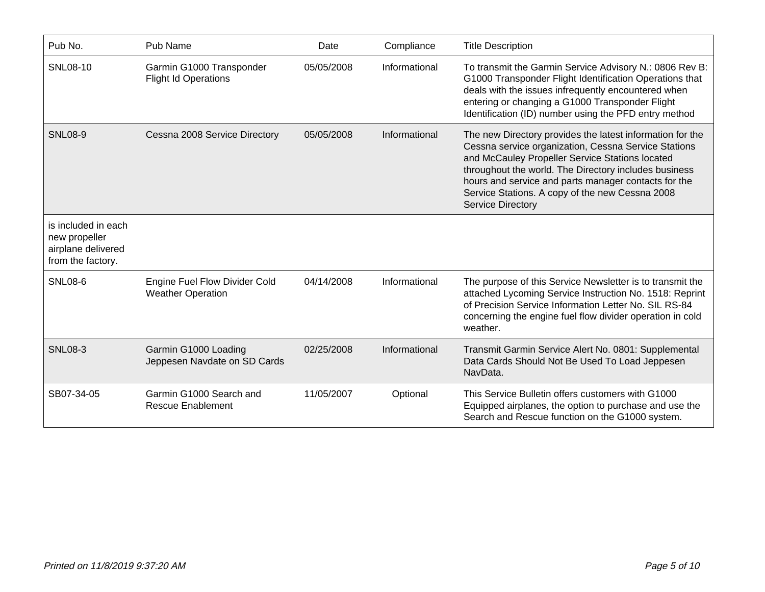| Pub No.                                                                         | Pub Name                                                  | Date       | Compliance    | <b>Title Description</b>                                                                                                                                                                                                                                                                                                                                             |
|---------------------------------------------------------------------------------|-----------------------------------------------------------|------------|---------------|----------------------------------------------------------------------------------------------------------------------------------------------------------------------------------------------------------------------------------------------------------------------------------------------------------------------------------------------------------------------|
| SNL08-10                                                                        | Garmin G1000 Transponder<br><b>Flight Id Operations</b>   | 05/05/2008 | Informational | To transmit the Garmin Service Advisory N.: 0806 Rev B:<br>G1000 Transponder Flight Identification Operations that<br>deals with the issues infrequently encountered when<br>entering or changing a G1000 Transponder Flight<br>Identification (ID) number using the PFD entry method                                                                                |
| <b>SNL08-9</b>                                                                  | Cessna 2008 Service Directory                             | 05/05/2008 | Informational | The new Directory provides the latest information for the<br>Cessna service organization, Cessna Service Stations<br>and McCauley Propeller Service Stations located<br>throughout the world. The Directory includes business<br>hours and service and parts manager contacts for the<br>Service Stations. A copy of the new Cessna 2008<br><b>Service Directory</b> |
| is included in each<br>new propeller<br>airplane delivered<br>from the factory. |                                                           |            |               |                                                                                                                                                                                                                                                                                                                                                                      |
| <b>SNL08-6</b>                                                                  | Engine Fuel Flow Divider Cold<br><b>Weather Operation</b> | 04/14/2008 | Informational | The purpose of this Service Newsletter is to transmit the<br>attached Lycoming Service Instruction No. 1518: Reprint<br>of Precision Service Information Letter No. SIL RS-84<br>concerning the engine fuel flow divider operation in cold<br>weather.                                                                                                               |
| <b>SNL08-3</b>                                                                  | Garmin G1000 Loading<br>Jeppesen Navdate on SD Cards      | 02/25/2008 | Informational | Transmit Garmin Service Alert No. 0801: Supplemental<br>Data Cards Should Not Be Used To Load Jeppesen<br>NavData.                                                                                                                                                                                                                                                   |
| SB07-34-05                                                                      | Garmin G1000 Search and<br><b>Rescue Enablement</b>       | 11/05/2007 | Optional      | This Service Bulletin offers customers with G1000<br>Equipped airplanes, the option to purchase and use the<br>Search and Rescue function on the G1000 system.                                                                                                                                                                                                       |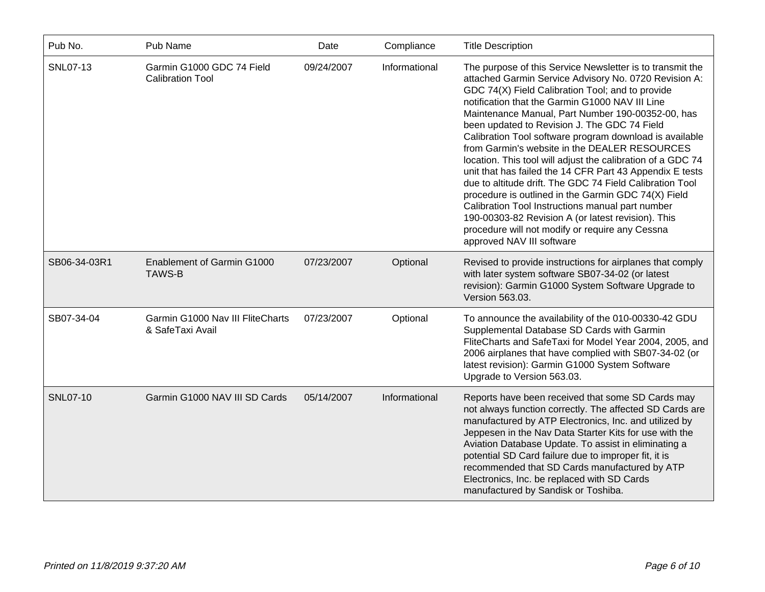| Pub No.         | Pub Name                                             | Date       | Compliance    | <b>Title Description</b>                                                                                                                                                                                                                                                                                                                                                                                                                                                                                                                                                                                                                                                                                                                                                                                                                                                           |
|-----------------|------------------------------------------------------|------------|---------------|------------------------------------------------------------------------------------------------------------------------------------------------------------------------------------------------------------------------------------------------------------------------------------------------------------------------------------------------------------------------------------------------------------------------------------------------------------------------------------------------------------------------------------------------------------------------------------------------------------------------------------------------------------------------------------------------------------------------------------------------------------------------------------------------------------------------------------------------------------------------------------|
| SNL07-13        | Garmin G1000 GDC 74 Field<br><b>Calibration Tool</b> | 09/24/2007 | Informational | The purpose of this Service Newsletter is to transmit the<br>attached Garmin Service Advisory No. 0720 Revision A:<br>GDC 74(X) Field Calibration Tool; and to provide<br>notification that the Garmin G1000 NAV III Line<br>Maintenance Manual, Part Number 190-00352-00, has<br>been updated to Revision J. The GDC 74 Field<br>Calibration Tool software program download is available<br>from Garmin's website in the DEALER RESOURCES<br>location. This tool will adjust the calibration of a GDC 74<br>unit that has failed the 14 CFR Part 43 Appendix E tests<br>due to altitude drift. The GDC 74 Field Calibration Tool<br>procedure is outlined in the Garmin GDC 74(X) Field<br>Calibration Tool Instructions manual part number<br>190-00303-82 Revision A (or latest revision). This<br>procedure will not modify or require any Cessna<br>approved NAV III software |
| SB06-34-03R1    | Enablement of Garmin G1000<br><b>TAWS-B</b>          | 07/23/2007 | Optional      | Revised to provide instructions for airplanes that comply<br>with later system software SB07-34-02 (or latest<br>revision): Garmin G1000 System Software Upgrade to<br>Version 563.03.                                                                                                                                                                                                                                                                                                                                                                                                                                                                                                                                                                                                                                                                                             |
| SB07-34-04      | Garmin G1000 Nav III FliteCharts<br>& SafeTaxi Avail | 07/23/2007 | Optional      | To announce the availability of the 010-00330-42 GDU<br>Supplemental Database SD Cards with Garmin<br>FliteCharts and SafeTaxi for Model Year 2004, 2005, and<br>2006 airplanes that have complied with SB07-34-02 (or<br>latest revision): Garmin G1000 System Software<br>Upgrade to Version 563.03.                                                                                                                                                                                                                                                                                                                                                                                                                                                                                                                                                                             |
| <b>SNL07-10</b> | Garmin G1000 NAV III SD Cards                        | 05/14/2007 | Informational | Reports have been received that some SD Cards may<br>not always function correctly. The affected SD Cards are<br>manufactured by ATP Electronics, Inc. and utilized by<br>Jeppesen in the Nav Data Starter Kits for use with the<br>Aviation Database Update. To assist in eliminating a<br>potential SD Card failure due to improper fit, it is<br>recommended that SD Cards manufactured by ATP<br>Electronics, Inc. be replaced with SD Cards<br>manufactured by Sandisk or Toshiba.                                                                                                                                                                                                                                                                                                                                                                                            |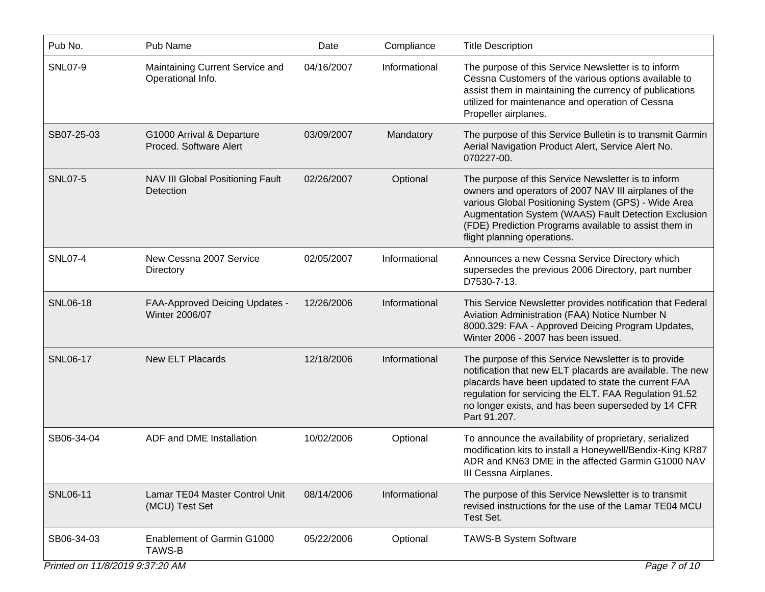| Pub No.         | Pub Name                                             | Date       | Compliance    | <b>Title Description</b>                                                                                                                                                                                                                                                                                            |
|-----------------|------------------------------------------------------|------------|---------------|---------------------------------------------------------------------------------------------------------------------------------------------------------------------------------------------------------------------------------------------------------------------------------------------------------------------|
| <b>SNL07-9</b>  | Maintaining Current Service and<br>Operational Info. | 04/16/2007 | Informational | The purpose of this Service Newsletter is to inform<br>Cessna Customers of the various options available to<br>assist them in maintaining the currency of publications<br>utilized for maintenance and operation of Cessna<br>Propeller airplanes.                                                                  |
| SB07-25-03      | G1000 Arrival & Departure<br>Proced. Software Alert  | 03/09/2007 | Mandatory     | The purpose of this Service Bulletin is to transmit Garmin<br>Aerial Navigation Product Alert, Service Alert No.<br>070227-00.                                                                                                                                                                                      |
| <b>SNL07-5</b>  | NAV III Global Positioning Fault<br>Detection        | 02/26/2007 | Optional      | The purpose of this Service Newsletter is to inform<br>owners and operators of 2007 NAV III airplanes of the<br>various Global Positioning System (GPS) - Wide Area<br>Augmentation System (WAAS) Fault Detection Exclusion<br>(FDE) Prediction Programs available to assist them in<br>flight planning operations. |
| <b>SNL07-4</b>  | New Cessna 2007 Service<br>Directory                 | 02/05/2007 | Informational | Announces a new Cessna Service Directory which<br>supersedes the previous 2006 Directory, part number<br>D7530-7-13.                                                                                                                                                                                                |
| <b>SNL06-18</b> | FAA-Approved Deicing Updates -<br>Winter 2006/07     | 12/26/2006 | Informational | This Service Newsletter provides notification that Federal<br>Aviation Administration (FAA) Notice Number N<br>8000.329: FAA - Approved Deicing Program Updates,<br>Winter 2006 - 2007 has been issued.                                                                                                             |
| <b>SNL06-17</b> | <b>New ELT Placards</b>                              | 12/18/2006 | Informational | The purpose of this Service Newsletter is to provide<br>notification that new ELT placards are available. The new<br>placards have been updated to state the current FAA<br>regulation for servicing the ELT. FAA Regulation 91.52<br>no longer exists, and has been superseded by 14 CFR<br>Part 91.207.           |
| SB06-34-04      | ADF and DME Installation                             | 10/02/2006 | Optional      | To announce the availability of proprietary, serialized<br>modification kits to install a Honeywell/Bendix-King KR87<br>ADR and KN63 DME in the affected Garmin G1000 NAV<br>III Cessna Airplanes.                                                                                                                  |
| <b>SNL06-11</b> | Lamar TE04 Master Control Unit<br>(MCU) Test Set     | 08/14/2006 | Informational | The purpose of this Service Newsletter is to transmit<br>revised instructions for the use of the Lamar TE04 MCU<br>Test Set.                                                                                                                                                                                        |
| SB06-34-03      | Enablement of Garmin G1000<br>TAWS-B                 | 05/22/2006 | Optional      | <b>TAWS-B System Software</b>                                                                                                                                                                                                                                                                                       |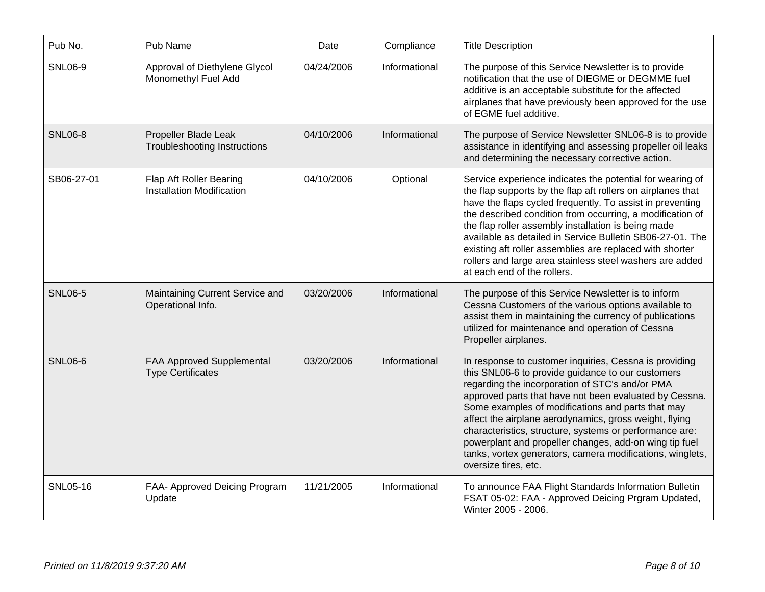| Pub No.        | Pub Name                                                     | Date       | Compliance    | <b>Title Description</b>                                                                                                                                                                                                                                                                                                                                                                                                                                                                                                                          |
|----------------|--------------------------------------------------------------|------------|---------------|---------------------------------------------------------------------------------------------------------------------------------------------------------------------------------------------------------------------------------------------------------------------------------------------------------------------------------------------------------------------------------------------------------------------------------------------------------------------------------------------------------------------------------------------------|
| <b>SNL06-9</b> | Approval of Diethylene Glycol<br>Monomethyl Fuel Add         | 04/24/2006 | Informational | The purpose of this Service Newsletter is to provide<br>notification that the use of DIEGME or DEGMME fuel<br>additive is an acceptable substitute for the affected<br>airplanes that have previously been approved for the use<br>of EGME fuel additive.                                                                                                                                                                                                                                                                                         |
| <b>SNL06-8</b> | Propeller Blade Leak<br><b>Troubleshooting Instructions</b>  | 04/10/2006 | Informational | The purpose of Service Newsletter SNL06-8 is to provide<br>assistance in identifying and assessing propeller oil leaks<br>and determining the necessary corrective action.                                                                                                                                                                                                                                                                                                                                                                        |
| SB06-27-01     | Flap Aft Roller Bearing<br>Installation Modification         | 04/10/2006 | Optional      | Service experience indicates the potential for wearing of<br>the flap supports by the flap aft rollers on airplanes that<br>have the flaps cycled frequently. To assist in preventing<br>the described condition from occurring, a modification of<br>the flap roller assembly installation is being made<br>available as detailed in Service Bulletin SB06-27-01. The<br>existing aft roller assemblies are replaced with shorter<br>rollers and large area stainless steel washers are added<br>at each end of the rollers.                     |
| <b>SNL06-5</b> | Maintaining Current Service and<br>Operational Info.         | 03/20/2006 | Informational | The purpose of this Service Newsletter is to inform<br>Cessna Customers of the various options available to<br>assist them in maintaining the currency of publications<br>utilized for maintenance and operation of Cessna<br>Propeller airplanes.                                                                                                                                                                                                                                                                                                |
| <b>SNL06-6</b> | <b>FAA Approved Supplemental</b><br><b>Type Certificates</b> | 03/20/2006 | Informational | In response to customer inquiries, Cessna is providing<br>this SNL06-6 to provide guidance to our customers<br>regarding the incorporation of STC's and/or PMA<br>approved parts that have not been evaluated by Cessna.<br>Some examples of modifications and parts that may<br>affect the airplane aerodynamics, gross weight, flying<br>characteristics, structure, systems or performance are:<br>powerplant and propeller changes, add-on wing tip fuel<br>tanks, vortex generators, camera modifications, winglets,<br>oversize tires, etc. |
| SNL05-16       | FAA- Approved Deicing Program<br>Update                      | 11/21/2005 | Informational | To announce FAA Flight Standards Information Bulletin<br>FSAT 05-02: FAA - Approved Deicing Prgram Updated,<br>Winter 2005 - 2006.                                                                                                                                                                                                                                                                                                                                                                                                                |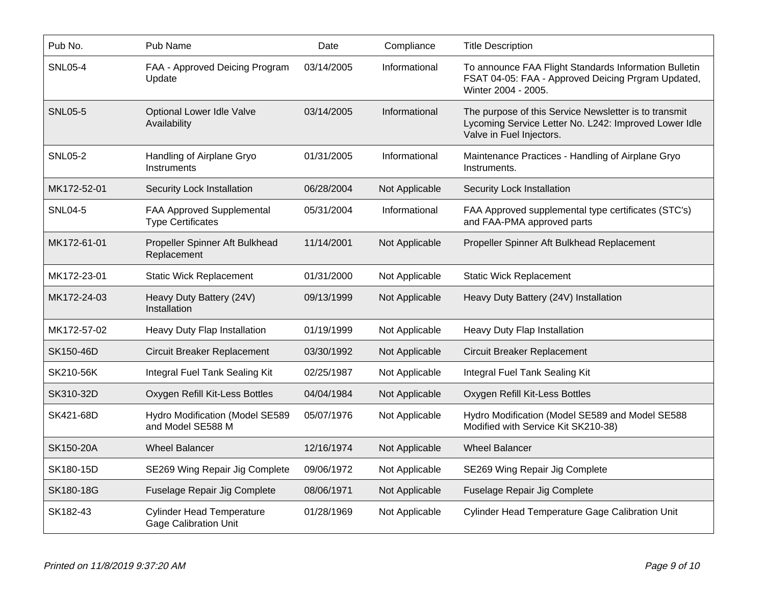| Pub No.        | Pub Name                                                         | Date       | Compliance     | <b>Title Description</b>                                                                                                                   |
|----------------|------------------------------------------------------------------|------------|----------------|--------------------------------------------------------------------------------------------------------------------------------------------|
| <b>SNL05-4</b> | FAA - Approved Deicing Program<br>Update                         | 03/14/2005 | Informational  | To announce FAA Flight Standards Information Bulletin<br>FSAT 04-05: FAA - Approved Deicing Prgram Updated,<br>Winter 2004 - 2005.         |
| <b>SNL05-5</b> | <b>Optional Lower Idle Valve</b><br>Availability                 | 03/14/2005 | Informational  | The purpose of this Service Newsletter is to transmit<br>Lycoming Service Letter No. L242: Improved Lower Idle<br>Valve in Fuel Injectors. |
| <b>SNL05-2</b> | Handling of Airplane Gryo<br>Instruments                         | 01/31/2005 | Informational  | Maintenance Practices - Handling of Airplane Gryo<br>Instruments.                                                                          |
| MK172-52-01    | Security Lock Installation                                       | 06/28/2004 | Not Applicable | Security Lock Installation                                                                                                                 |
| <b>SNL04-5</b> | <b>FAA Approved Supplemental</b><br><b>Type Certificates</b>     | 05/31/2004 | Informational  | FAA Approved supplemental type certificates (STC's)<br>and FAA-PMA approved parts                                                          |
| MK172-61-01    | Propeller Spinner Aft Bulkhead<br>Replacement                    | 11/14/2001 | Not Applicable | Propeller Spinner Aft Bulkhead Replacement                                                                                                 |
| MK172-23-01    | <b>Static Wick Replacement</b>                                   | 01/31/2000 | Not Applicable | <b>Static Wick Replacement</b>                                                                                                             |
| MK172-24-03    | Heavy Duty Battery (24V)<br>Installation                         | 09/13/1999 | Not Applicable | Heavy Duty Battery (24V) Installation                                                                                                      |
| MK172-57-02    | Heavy Duty Flap Installation                                     | 01/19/1999 | Not Applicable | Heavy Duty Flap Installation                                                                                                               |
| SK150-46D      | <b>Circuit Breaker Replacement</b>                               | 03/30/1992 | Not Applicable | <b>Circuit Breaker Replacement</b>                                                                                                         |
| SK210-56K      | Integral Fuel Tank Sealing Kit                                   | 02/25/1987 | Not Applicable | Integral Fuel Tank Sealing Kit                                                                                                             |
| SK310-32D      | Oxygen Refill Kit-Less Bottles                                   | 04/04/1984 | Not Applicable | Oxygen Refill Kit-Less Bottles                                                                                                             |
| SK421-68D      | Hydro Modification (Model SE589<br>and Model SE588 M             | 05/07/1976 | Not Applicable | Hydro Modification (Model SE589 and Model SE588<br>Modified with Service Kit SK210-38)                                                     |
| SK150-20A      | <b>Wheel Balancer</b>                                            | 12/16/1974 | Not Applicable | <b>Wheel Balancer</b>                                                                                                                      |
| SK180-15D      | SE269 Wing Repair Jig Complete                                   | 09/06/1972 | Not Applicable | SE269 Wing Repair Jig Complete                                                                                                             |
| SK180-18G      | Fuselage Repair Jig Complete                                     | 08/06/1971 | Not Applicable | Fuselage Repair Jig Complete                                                                                                               |
| SK182-43       | <b>Cylinder Head Temperature</b><br><b>Gage Calibration Unit</b> | 01/28/1969 | Not Applicable | <b>Cylinder Head Temperature Gage Calibration Unit</b>                                                                                     |